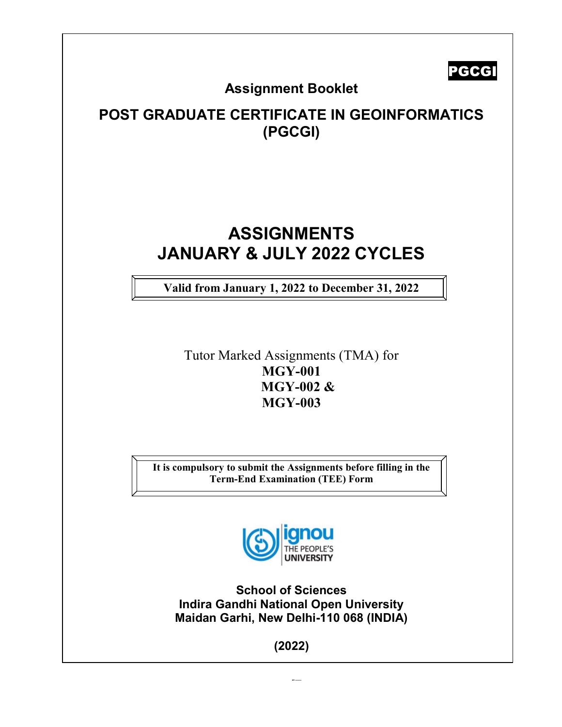PGCGI

## Assignment Booklet

# POST GRADUATE CERTIFICATE IN GEOINFORMATICS (PGCGI)

# ASSIGNMENTS JANUARY & JULY 2022 CYCLES

Valid from January 1, 2022 to December 31, 2022

Tutor Marked Assignments (TMA) for MGY-001 MGY-002 & MGY-003

It is compulsory to submit the Assignments before filling in the Term-End Examination (TEE) Form



School of Sciences Indira Gandhi National Open University Maidan Garhi, New Delhi-110 068 (INDIA)

(2022)

 $\overline{a}$ 

[Ty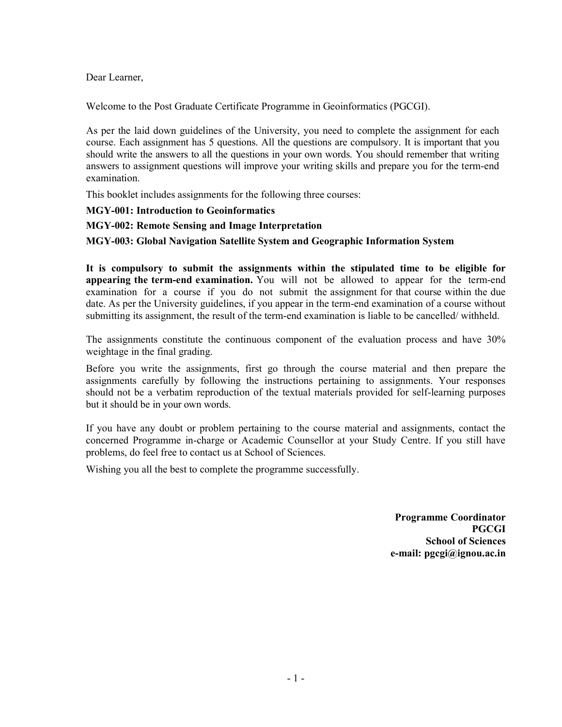Dear Learner,

Welcome to the Post Graduate Certificate Programme in Geoinformatics (PGCGI).

As per the laid down guidelines of the University, you need to complete the assignment for each course. Each assignment has 5 questions. All the questions are compulsory. It is important that you should write the answers to all the questions in your own words. You should remember that writing answers to assignment questions will improve your writing skills and prepare you for the term-end examination.

This booklet includes assignments for the following three courses:

MGY-001: Introduction to Geoinformatics

MGY-002: Remote Sensing and Image Interpretation

MGY-003: Global Navigation Satellite System and Geographic Information System

It is compulsory to submit the assignments within the stipulated time to be eligible for appearing the term-end examination. You will not be allowed to appear for the term-end examination for a course if you do not submit the assignment for that course within the due date. As per the University guidelines, if you appear in the term-end examination of a course without submitting its assignment, the result of the term-end examination is liable to be cancelled/ withheld.

The assignments constitute the continuous component of the evaluation process and have 30% weightage in the final grading.

Before you write the assignments, first go through the course material and then prepare the assignments carefully by following the instructions pertaining to assignments. Your responses should not be a verbatim reproduction of the textual materials provided for self-learning purposes but it should be in your own words.

If you have any doubt or problem pertaining to the course material and assignments, contact the concerned Programme in-charge or Academic Counsellor at your Study Centre. If you still have problems, do feel free to contact us at School of Sciences.

Wishing you all the best to complete the programme successfully.

Programme Coordinator PGCGI School of Sciences e-mail: pgcgi@ignou.ac.in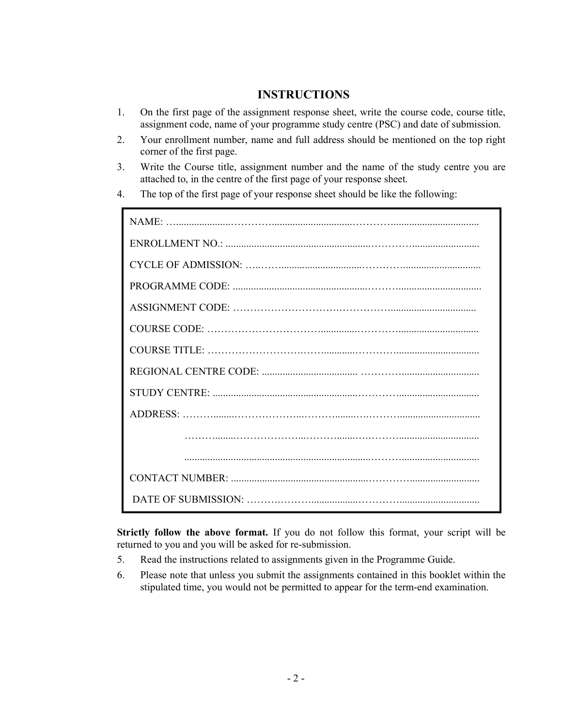#### INSTRUCTIONS

- 1. On the first page of the assignment response sheet, write the course code, course title, assignment code, name of your programme study centre (PSC) and date of submission.
- 2. Your enrollment number, name and full address should be mentioned on the top right corner of the first page.
- 3. Write the Course title, assignment number and the name of the study centre you are attached to, in the centre of the first page of your response sheet.
- 4. The top of the first page of your response sheet should be like the following:

Strictly follow the above format. If you do not follow this format, your script will be returned to you and you will be asked for re-submission.

- 5. Read the instructions related to assignments given in the Programme Guide.
- 6. Please note that unless you submit the assignments contained in this booklet within the stipulated time, you would not be permitted to appear for the term-end examination.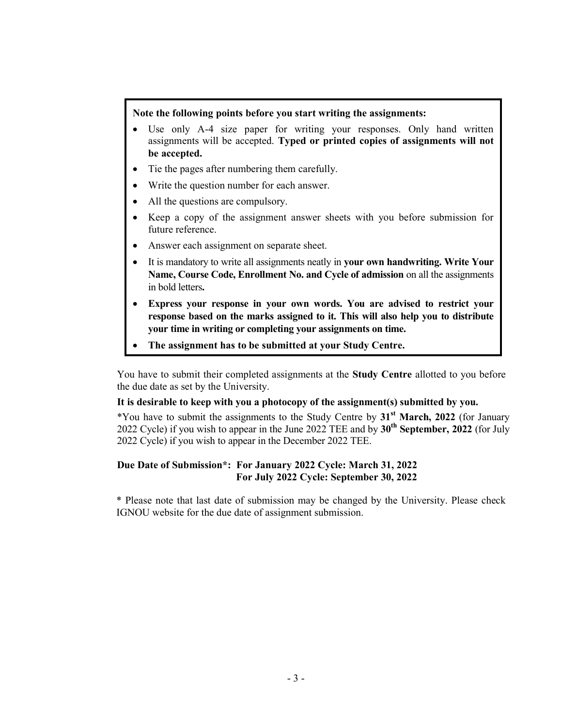#### Note the following points before you start writing the assignments:

- Use only A-4 size paper for writing your responses. Only hand written assignments will be accepted. Typed or printed copies of assignments will not be accepted.
- Tie the pages after numbering them carefully.
- Write the question number for each answer.
- All the questions are compulsory.
- Keep a copy of the assignment answer sheets with you before submission for future reference.
- Answer each assignment on separate sheet.
- It is mandatory to write all assignments neatly in your own handwriting. Write Your Name, Course Code, Enrollment No. and Cycle of admission on all the assignments in bold letters.
- Express your response in your own words. You are advised to restrict your response based on the marks assigned to it. This will also help you to distribute your time in writing or completing your assignments on time.
- The assignment has to be submitted at your Study Centre.

You have to submit their completed assignments at the Study Centre allotted to you before the due date as set by the University.

#### It is desirable to keep with you a photocopy of the assignment(s) submitted by you.

\*You have to submit the assignments to the Study Centre by  $31<sup>st</sup>$  March, 2022 (for January 2022 Cycle) if you wish to appear in the June 2022 TEE and by  $30<sup>th</sup>$  September, 2022 (for July 2022 Cycle) if you wish to appear in the December 2022 TEE.

#### Due Date of Submission\*: For January 2022 Cycle: March 31, 2022 For July 2022 Cycle: September 30, 2022

\* Please note that last date of submission may be changed by the University. Please check IGNOU website for the due date of assignment submission.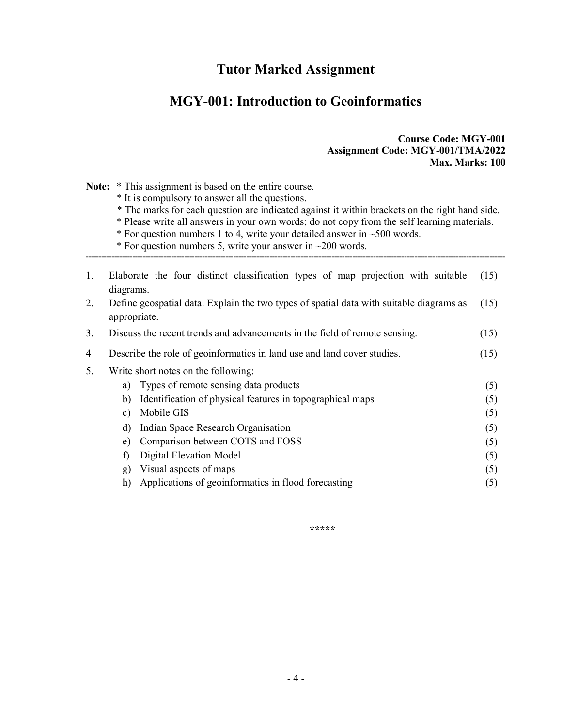### Tutor Marked Assignment

### MGY-001: Introduction to Geoinformatics

#### Course Code: MGY-001 Assignment Code: MGY-001/TMA/2022 Max. Marks: 100

Note: \* This assignment is based on the entire course.

\* It is compulsory to answer all the questions.

\* The marks for each question are indicated against it within brackets on the right hand side.

\* Please write all answers in your own words; do not copy from the self learning materials.

------------------------------------------------------------------------------------------------------------------------------------------------------------------

 $*$  For question numbers 1 to 4, write your detailed answer in  $~500$  words.

\* For question numbers 5, write your answer in  $\sim$ 200 words.

| 1.                                                                                            | Elaborate the four distinct classification types of map projection with suitable   | (15) |  |  |  |  |  |  |
|-----------------------------------------------------------------------------------------------|------------------------------------------------------------------------------------|------|--|--|--|--|--|--|
|                                                                                               | diagrams.                                                                          |      |  |  |  |  |  |  |
| 2.<br>Define geospatial data. Explain the two types of spatial data with suitable diagrams as |                                                                                    |      |  |  |  |  |  |  |
|                                                                                               | appropriate.                                                                       |      |  |  |  |  |  |  |
| 3.                                                                                            | Discuss the recent trends and advancements in the field of remote sensing.<br>(15) |      |  |  |  |  |  |  |
| 4                                                                                             | Describe the role of geoinformatics in land use and land cover studies.<br>(15)    |      |  |  |  |  |  |  |
| 5.                                                                                            | Write short notes on the following:                                                |      |  |  |  |  |  |  |
|                                                                                               | Types of remote sensing data products<br>a)                                        | (5)  |  |  |  |  |  |  |
|                                                                                               | Identification of physical features in topographical maps<br>b)                    | (5)  |  |  |  |  |  |  |
|                                                                                               | Mobile GIS<br>c)                                                                   | (5)  |  |  |  |  |  |  |
|                                                                                               | Indian Space Research Organisation<br>d)                                           | (5)  |  |  |  |  |  |  |
|                                                                                               | Comparison between COTS and FOSS<br>e)                                             | (5)  |  |  |  |  |  |  |
|                                                                                               | Digital Elevation Model<br>f)                                                      | (5)  |  |  |  |  |  |  |
|                                                                                               | Visual aspects of maps<br>$\mathbf{g}$                                             | (5)  |  |  |  |  |  |  |
|                                                                                               | Applications of geoinformatics in flood forecasting<br>h)                          | (5)  |  |  |  |  |  |  |
|                                                                                               |                                                                                    |      |  |  |  |  |  |  |

\*\*\*\*\*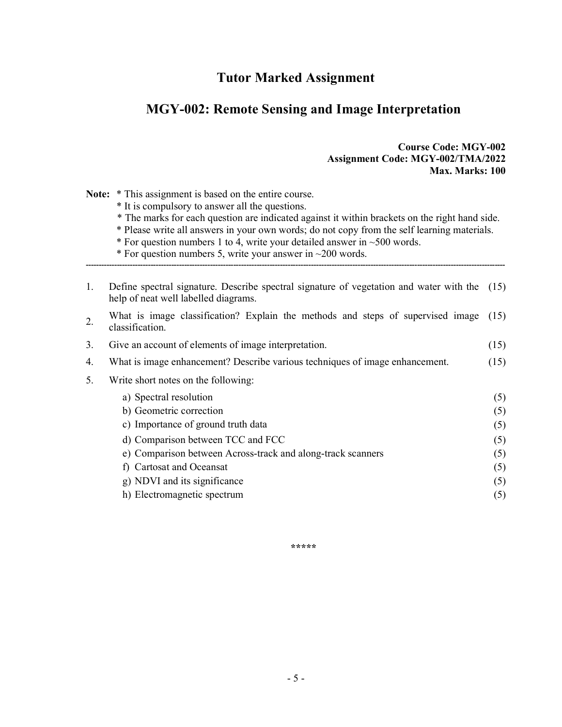### Tutor Marked Assignment

### MGY-002: Remote Sensing and Image Interpretation

#### Course Code: MGY-002 Assignment Code: MGY-002/TMA/2022 Max. Marks: 100

Note: \* This assignment is based on the entire course.

- \* It is compulsory to answer all the questions.
- \* The marks for each question are indicated against it within brackets on the right hand side.
- \* Please write all answers in your own words; do not copy from the self learning materials.
- \* For question numbers 1 to 4, write your detailed answer in  $\sim$  500 words.
- \* For question numbers 5, write your answer in  $\sim$ 200 words.
- 1. Define spectral signature. Describe spectral signature of vegetation and water with the (15) help of neat well labelled diagrams.

------------------------------------------------------------------------------------------------------------------------------------------------------------------

2. What is image classification? Explain the methods and steps of supervised image  $(15)$ classification.

3. Give an account of elements of image interpretation. (15)

- 4. What is image enhancement? Describe various techniques of image enhancement. (15)
- 5. Write short notes on the following:

| a) Spectral resolution                                      | (5) |
|-------------------------------------------------------------|-----|
| b) Geometric correction                                     | (5) |
| c) Importance of ground truth data                          | (5) |
| d) Comparison between TCC and FCC                           | (5) |
| e) Comparison between Across-track and along-track scanners | (5) |
| f) Cartosat and Oceansat                                    | (5) |
| g) NDVI and its significance                                | (5) |
| h) Electromagnetic spectrum                                 | (5) |

\*\*\*\*\*